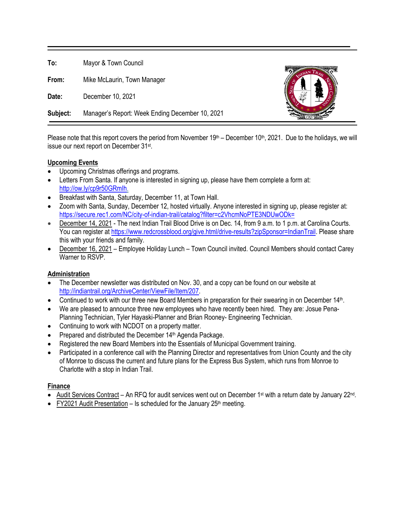**To:** Mayor & Town Council **From:** Mike McLaurin, Town Manager **Date:** December 10, 2021 **Subject:** Manager's Report: Week Ending December 10, 2021

Please note that this report covers the period from November  $19<sup>th</sup>$  – December  $10<sup>th</sup>$ , 2021. Due to the holidays, we will issue our next report on December 31st.

# **Upcoming Events**

- Upcoming Christmas offerings and programs.
- Letters From Santa. If anyone is interested in signing up, please have them complete a form at: [http://ow.ly/cp9r50GRmIh.](http://ow.ly/cp9r50GRmIh)
- Breakfast with Santa, Saturday, December 11, at Town Hall.
- Zoom with Santa, Sunday, December 12, hosted virtually. Anyone interested in signing up, please register at: <https://secure.rec1.com/NC/city-of-indian-trail/catalog?filter=c2VhcmNoPTE3NDUwODk=>
- December 14, 2021 The next Indian Trail Blood Drive is on Dec. 14, from 9 a.m. to 1 p.m. at Carolina Courts. You can register at [https://www.redcrossblood.org/give.html/drive-results?zipSponsor=IndianTrail.](https://www.redcrossblood.org/give.html/drive-results?zipSponsor=IndianTrail) Please share this with your friends and family.
- December 16, 2021 Employee Holiday Lunch Town Council invited. Council Members should contact Carey Warner to RSVP.

#### **Administration**

- The December newsletter was distributed on Nov. 30, and a copy can be found on our website at [http://indiantrail.org/ArchiveCenter/ViewFile/Item/207.](http://indiantrail.org/ArchiveCenter/ViewFile/Item/207)
- Continued to work with our three new Board Members in preparation for their swearing in on December 14th.
- We are pleased to announce three new employees who have recently been hired. They are: Josue Pena-Planning Technician, Tyler Hayaski-Planner and Brian Rooney- Engineering Technician.
- Continuing to work with NCDOT on a property matter.
- Prepared and distributed the December 14<sup>th</sup> Agenda Package.
- Registered the new Board Members into the Essentials of Municipal Government training.
- Participated in a conference call with the Planning Director and representatives from Union County and the city of Monroe to discuss the current and future plans for the Express Bus System, which runs from Monroe to Charlotte with a stop in Indian Trail.

#### **Finance**

- Audit Services Contract An RFQ for audit services went out on December 1st with a return date by January 22nd.
- FY2021 Audit Presentation Is scheduled for the January  $25<sup>th</sup>$  meeting.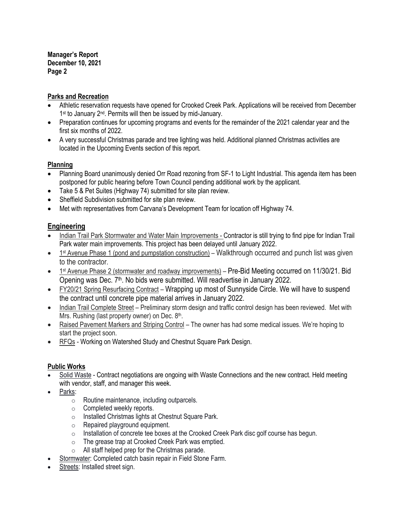**Manager's Report December 10, 2021 Page 2**

## **Parks and Recreation**

- Athletic reservation requests have opened for Crooked Creek Park. Applications will be received from December 1<sup>st</sup> to January 2<sup>nd</sup>. Permits will then be issued by mid-January.
- Preparation continues for upcoming programs and events for the remainder of the 2021 calendar year and the first six months of 2022.
- A very successful Christmas parade and tree lighting was held. Additional planned Christmas activities are located in the Upcoming Events section of this report.

#### **Planning**

- Planning Board unanimously denied Orr Road rezoning from SF-1 to Light Industrial. This agenda item has been postponed for public hearing before Town Council pending additional work by the applicant.
- Take 5 & Pet Suites (Highway 74) submitted for site plan review.
- Sheffield Subdivision submitted for site plan review.
- Met with representatives from Carvana's Development Team for location off Highway 74.

# **Engineering**

- Indian Trail Park Stormwater and Water Main Improvements Contractor is still trying to find pipe for Indian Trail Park water main improvements. This project has been delayed until January 2022.
- 1<sup>st</sup> Avenue Phase 1 (pond and pumpstation construction) Walkthrough occurred and punch list was given to the contractor.
- 1<sup>st</sup> Avenue Phase 2 (stormwater and roadway improvements) Pre-Bid Meeting occurred on 11/30/21. Bid Opening was Dec. 7<sup>th</sup>. No bids were submitted. Will readvertise in January 2022.
- FY20/21 Spring Resurfacing Contract Wrapping up most of Sunnyside Circle. We will have to suspend the contract until concrete pipe material arrives in January 2022.
- Indian Trail Complete Street Preliminary storm design and traffic control design has been reviewed. Met with Mrs. Rushing (last property owner) on Dec. 8<sup>th</sup>.
- Raised Pavement Markers and Striping Control The owner has had some medical issues. We're hoping to start the project soon.
- RFQs Working on Watershed Study and Chestnut Square Park Design.

# **Public Works**

- Solid Waste Contract negotiations are ongoing with Waste Connections and the new contract. Held meeting with vendor, staff, and manager this week.
- Parks:
	- o Routine maintenance, including outparcels.
	- o Completed weekly reports.
	- o Installed Christmas lights at Chestnut Square Park.
	- o Repaired playground equipment.
	- o Installation of concrete tee boxes at the Crooked Creek Park disc golf course has begun.
	- o The grease trap at Crooked Creek Park was emptied.
	- o All staff helped prep for the Christmas parade.
- Stormwater: Completed catch basin repair in Field Stone Farm.
- Streets: Installed street sign.